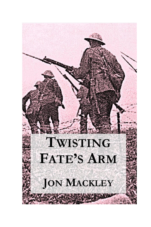## TWISTING **FATE'S ARM**

**JON MACKLEY**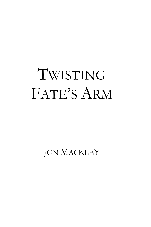## TWISTING FATE"S ARM

JON MACKLEY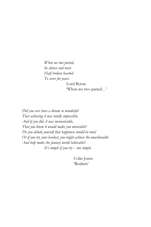*When we two parted, In silence and tears Half broken hearted To sever for years.*

Lord Byron

"When we two parted…"

*Did you ever have a dream so wonderful That achieving it was totally impossible, And if you did, it was inconceivable, That you knew it would make you miserable? Do you delude yourself that happiness would be total Or if you try your hardest, you might achieve the unachievable And help make the fantasy world believable? It's simple if you try -- too simple.*

> Colin Jones "Realism"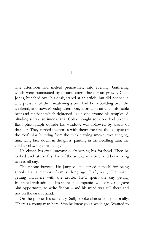1

The afternoon had melted prematurely into evening. Gathering winds were punctuated by distant, angry thunderous growls. Colin Jones, hunched over his desk, stared at an article, but did not see it. The pressure of the threatening storm had been building over the weekend, and now, Monday afternoon, it brought an uncomfortable heat and tensions which tightened like a vice around his temples. A blinding streak, so intense that Colin thought someone had taken a flash photograph outside his window, was followed by snarls of thunder. They carried memories with them: the fire; the collapse of the roof; him, bursting from the thick clawing smoke; eyes stinging; him, lying face down in the grass; panting in the needling rain; the cold air clawing at his lungs.

He closed his eyes, unconsciously wiping his forehead. Then he looked back at the first line of the article, an article he"d been trying to read all day.

The phone buzzed. He jumped. He cursed himself for being spooked at a memory from so long ago. Daft, really. He wasn"t getting anywhere with the article. He"d spent the day getting frustrated with admin – his shares in companies whose revenue gave him opportunity to write fiction – and his mind was still there and not on the task at hand.

On the phone, his secretary, Sally, spoke almost conspiratorially: "There"s a young man here. Says he knew you a while ago. Wanted to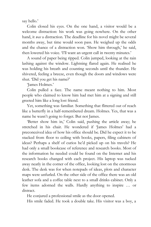say hello.'

Colin closed his eyes. On the one hand, a visitor would be a welcome distraction: his work was going nowhere. On the other hand, it *was* a distraction. The deadline for his novel might be several months away, but time would soon pass. He weighed up the odds and the chance of a distraction won. 'Show him through,' he said, then lowered his voice. T'll want an urgent call in twenty minutes.'

A sound of paper being ripped. Colin jumped, looking at the rain lashing against the window. Lightning flared again. He realised he was holding his breath and counting seconds until the thunder. He shivered, feeling a breeze, even though the doors and windows were shut. "Did you get his name?"

"James Holmes."

Colin pulled a face. The name meant nothing to him. Most people who claimed to know him had met him at a signing and still greeted him like a long lost friend.

Yet, something was familiar. Something that flittered out of reach like a butterfly in a half-remembered dream. Holmes. Yes, that was a name he wasn"t going to forget. But not James.

'Better show him in,' Colin said, pushing the article away; he stretched in his chair. He wondered if "James Holmes" had a preconceived idea of how his office should be. Did he expect it to be stacked from floor to ceiling with books, papers, filing cabinets of ideas? Perhaps a shelf of curios he'd picked up on his travels? He had only a small bookcase of reference and research books. Most of the information he needed could be found on the Internet and his research books changed with each project. His laptop was tucked away neatly in the corner of the office, looking lost on the enormous desk. The desk was for when notepads of ideas, plots and character maps were unfurled. On the other side of the office there was an old leather sofa and a coffee table next to a small drinks cabinet. Only a few items adorned the walls. Hardly anything to inspire … or distract.

He conjured a professional smile as the door opened.

His smile faded. He took a double take. His visitor was a boy, a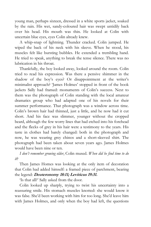young man, perhaps sixteen, dressed in a white sports jacket, soaked by the rain. His wet, sandy-coloured hair was swept untidily back over his head. His mouth was thin. He looked at Colin with uncertain blue eyes, eyes Colin already knew.

A whip-snap of lightning. Thunder cracked. Colin jumped. He wiped the back of his neck with his sleeve. When he stood, his muscles felt like bursting bubbles. He extended a trembling hand. He tried to speak, anything to break the tense silence. There was no lubrication in his throat.

Thankfully, the boy looked away, looked around the room. Colin tried to read his expression. Was there a pensive shimmer in the shadow of the boy's eyes? Or disappointment at the writer's minimalist approach? "James Holmes" stopped in front of the book jackets Sally had framed: monuments of Colin's success. Next to them was the photograph of Colin standing with the local amateur dramatics group who had adapted one of his novels for their summer performance. That photograph was a window across time. Colin"s brown hair had thinned, just a little, and he now had it cut short. And his face was slimmer, younger without the cropped beard, although the few worry lines that had etched into his forehead and the flecks of grey in his hair were a testimony to the years. His taste in clothes had barely changed: both in the photograph and now, he was wearing grey chinos and a short-sleeved shirt. The photograph had been taken about seven years ago. James Holmes would have been nine or ten.

*I don't remember growing older*, Colin mused. *When did he find time to do it*?

Then James Homes was looking at the only item of decoration that Colin had added himself: a framed piece of parchment, bearing the legend: **Deuteronomy 18:11; Leviticus 19:31.**

"Is that all?" Sally asked from the door.

Colin looked up sharply, trying to twist his uncertainty into a reassuring smile. His stomach muscles knotted: she would know it was false. She"d been working with him for too long. She"d leave him with James Holmes, and only when the boy had left, the questions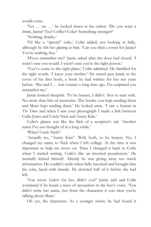would come.

"Yes … no …" he looked down at his visitor. "Do you want a drink, Jamie? Tea? Coffee? Coke? Something stronger?"

'Nothing, thanks.'

'I'd like a "special" coke,' Colin added, not looking at Sally, although he felt her glaring at him. "Can you find a towel for Jamie? You're soaking, boy.'

"D"you remember me?" Jamie asked after the door had closed. "I wasn't sure you would. I wasn't sure you're the right person.'

"You"ve come to the right place," Colin admitted. He fumbled for the right words. "I knew your mother." He stared past Jamie at the cover of his first book, a book he had written for her ten years before. 'She and I ... lost contact a long time ago. I'm surprised you remember me."

Jamie looked sheepish. "To be honest, I didn"t. Not to start with. No more than bits of memories. The books: you kept sending them and Mum kept reading them." He looked away. "I saw a feature in *The Times* and when I saw your photograph I made a link between Colin Jones and Uncle Nick and Aunty Kim.'

Colin's glance was like the flick of a scorpion's tail. 'Another name I've not thought of in a long while.'

"What? Uncle Nick?"

'Actually no, "Aunty Kim". Well, both, to be honest. No, I changed my name to Nick when I left college. At the time it was important to help me move on. Then I changed it back to Colin when I started writing. Colin's like an inverted pseudonym.' He mentally kicked himself. Already he was giving away too much information. He couldn"t smile when Sally knocked and brought him his coke, laced with brandy. He downed half of it before she had left.

"You wrote *Seekers* for her, didn"t you?" Jamie said and Colin wondered if he heard a trace of accusation in the boy's voice. You didn"t write her name, but from the characters it was clear you"re talking about Mum.'

Oh yes, the characters. As a younger writer, he had found it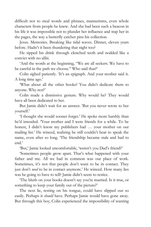difficult not to steal words and phrases, mannerisms, even whole characters from people he knew. And she had been such a beacon in his life it was impossible not to plunder her influence and trap her in the pages, the way a butterfly catcher pins his collection.

Jesus. Memories. Breaking like tidal waves. Dinner, eleven years before. Hadn"t it been thundering that night too?

He sipped his drink through clenched teeth and nodded like a convict with no alibi.

'And the words at the beginning, "We are all seekers. We have to be careful in the path we choose." Who said that?'

Colin sighed patiently. 'It's an epigraph. And your mother said it. A long time ago."

"What about all the other books? You didn"t dedicate them to anyone. Why not?"

Colin made a dismissive gesture. Why would he? They would have all been dedicated to her.

But Jamie didn"t wait for an answer. "But you never wrote to her yourself."

'I thought she would sooner forget.' He spoke more harshly than he'd intended. Your mother and I were friends for a while. To be honest, I didn't know my publishers had ... your mother on our mailing list." He winced, realising he still couldn"t bear to speak the name, even after so long. "The friendship became stale and had to end.'

'But,' Jamie looked uncomfortable, 'weren't you Dad's friend?'

"Sometimes people grow apart. That"s what happened with your father and me. All we had in common was our place of work. Sometimes, it's not that people don't want to be in contact. They just don't *need* to be in contact anymore.' He winced. How many lies was he going to have to tell? Jamie didn"t seem to notice.

"The blurb on your books doesn"t say you"re married. Is it true, or something to keep your family out of the picture?'

The next lie, resting on his tongue, could have slipped out so easily. Perhaps it *should* have. Perhaps Jamie would have gone away. But through this boy, Colin experienced the impossibility of wanting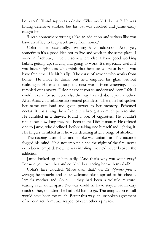both to fulfil and suppress a desire. "Why would I do that?" He was hitting defensive strokes, but his bat was crooked and Jamie easily caught him.

"I read somewhere writing"s like an addiction and writers like you have an office to keep work away from home.'

Colin smiled caustically. "Writing *is* an addiction. And, yes, sometimes it's a good idea not to live and work in the same place. I work in Archway, I live ... somewhere else. I have good working habits: getting up, shaving and going to work. It's especially useful if you have neighbours who think that because you"re at home, you have free time.' He bit his lip. 'The curse of anyone who works from home.' He made to drink, but he'd emptied his glass without realising it. He tried to stop the next words from emerging. They tumbled out anyway. 'I don't expect you to understand how I felt. I couldn"t care for someone else the way I cared about your mother. After Anita … a relationship seemed pointless." There, he had spoken her name out loud and given power to her memory. Poisoned nectar. It was strange how five letters brought so much pain to him. He fumbled in a drawer, found a box of cigarettes. He couldn"t remember how long they had been there. Didn"t matter. He offered one to Jamie, who declined, before taking one himself and lighting it. His fingers trembled as if he were detoxing after a binge of alcohol.

The rasping taste of tar and smoke was unfamiliar. The nicotine fogged his mind. He"d not smoked since the night of the fire, never even been tempted. Now he was inhaling like he"d never broken the addiction.

Jamie looked up at him sadly. 'And that's why you went away? Because you loved her and couldn't bear seeing her with my dad?'

Colin"s face clouded. "More than that." *On the defensive from a teenager*, he thought and an unwelcome blush spread to his cheeks. Jamie's mother and Colin ... they had been a volatile mixture, tearing each other apart. No way could he have stayed within easy reach of her, not after she had told him to go. The temptation to call would have been too much. Better this way: an unspoken agreement of no contact. A mutual respect of each other"s privacy.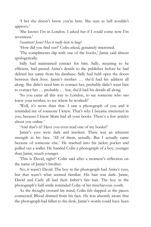"I bet she doesn"t know you"re here. She sure as hell wouldn"t approve.'

"She knows I"m in London. I asked her if I could come now I"m seventeen."

*Seventeen? Jesus! Has it really been so long?*

"How did you find out?" Colin asked, genuinely interested.

"The compliments slip with one of the books," Jamie said almost apologetically.

Sally had maintained contact for him. Sally, meaning to be efficient, had passed Anita"s details to the publisher before he had deleted her name from his database. Sally had held open the doors between their lives. Jamie"s mother … she"d had his address all along. She didn"t need him to contact her, probably didn"t want him to contact her … probably … but, she"d had his details all along.

"So you came all this way to London, to see someone who *once* knew your mother, to see where he worked?"

'Well, it's more than that. I saw a photograph of you and it reminded me of someone I knew. That"s why I became interested in you, because I knew Mum had all your books. There"s a few articles about you online.'

'And that's it? Have you even read one of my books?'

Jamie"s eyes were dark and insolent. There was an inherent strength in his face. "All of them, actually. But I actually came because of someone else." He reached into his jacket pocket and pulled out a wallet. He handed Colin a photograph of a boy, younger than Jamie, much younger.

"This is David, right?' Colin said after a moment's reflection on the name of Jamie's brother.

No, it wasn't David. The boy in the photograph had Anita's eyes, but that wasn"t what seemed familiar. His hair was dark. Jamie, David and Carly all had their father's fair hair. The boy in the photograph"s half-smile reminded Colin of his mischievous youth.

As the thought crossed his mind, Colin felt slapped as the pieces connected. Blood drained from his face. He was absently aware that the photograph had fallen to the desk. Jamie's words could have been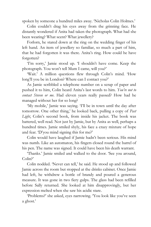spoken by someone a hundred miles away. 'Nicholas Colin Holmes.'

Colin couldn"t drag his eyes away from the grinning face. He distantly wondered if Anita had taken the photograph. What had she been wearing? What scent? What jewellery?

Forlorn, he stared down at the ring on the wedding finger of his left hand. An item of jewellery so familiar, so much a part of him, that he had forgotten it was there. Anita's ring. How could he have forgotten?

'I'm sorry,' Jamie stood up. 'I shouldn't have come. Keep the photograph. You won't tell Mum I came, will you?'

'Wait.' A million questions flew through Colin's mind. 'How long'll you be in London? Where can I contact you?'

As Jamie scribbled a telephone number on a scrap of paper and pushed it to him, Colin heard Anita"s last words to him. *You're not to contact Steven or me*. Had eleven years really passed? How had he managed without her for so long?

'My mobile,' Jamie was saying. 'I'll be in town until the day after tomorrow. One other thing," he looked back, pulling a copy of *Past*  Light, Colin's second book, from inside his jacket. The book was battered, well read. Not just by Jamie, but by Anita as well, perhaps a hundred times. Jamie smiled shyly, his face a crazy mixture of hope and fear. "D'you mind signing this for me?"

Colin would have laughed if Jamie hadn"t been serious. His mind was numb. Like an automaton, his fingers closed round the barrel of his pen. The name was signed. It could have been his death warrant.

"Thanks." Jamie smiled and walked to the door. "See you around, Colin?'

Colin nodded. "Never can tell," he said. He stood up and followed Jamie across the room but stopped at the drinks cabinet. Once Jamie had left, he withdrew a bottle of brandy and poured a generous measure. It was gone in two fiery gulps. The glass had been refilled before Sally returned. She looked at him disapprovingly, but her expression melted when she saw his acidic stare.

"Problems?" she asked, eyes narrowing. "You look like you"ve seen a ghost.'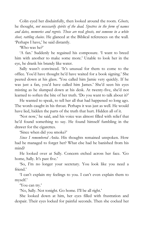Colin eyed her disdainfully, then looked around the room. *Ghosts,*  he thought, *not necessarily spirits of the dead. Spectres in the form of names and dates, memories and regrets. Those are* real *ghosts, not someone in a white sheet, rattling chains*. He glanced at the Biblical references on the wall. "Perhaps I have," he said distantly.

"Who was he?"

"A fan." Suddenly he regained his composure. "I want to breed him with another to make some more.' Unable to look her in the eye, he drank his brandy like water.

Sally wasn't convinced. 'It's unusual for them to come to the office. You"d have thought he"d have waited for a book signing." She peered down at his glass. "You called him Jamie very quickly. If he was just a fan, you"d have called him James." She"d seen his eyes misting as he slumped down at his desk. At twenty-five, she"d not learned to soften the bite of her truth. 'Do you want to talk about it?'

He wanted to speak, to tell her all that had happened so long ago. The words caught in his throat. Perhaps it was just as well. He would have lied, hidden the parts of the truth that hurt. Hidden all of it.

"Not now," he said, and his voice was almost filled with relief that he'd found something to say. He found himself fumbling in the drawer for the cigarettes.

'Since when did you smoke?'

*Since I remembered Anita*. His thoughts remained unspoken. How had he managed to forget her? What else had he banished from his mind?

He looked over at Sally. Concern etched across her face. "Go home, Sally. It's past five.'

"So, I"m no longer your secretary. You look like you need a friend.'

"I can"t explain my feelings to you. I can"t even explain them to myself."

"You can try."

'No, Sally. Not tonight. Go home. I'll be all right.'

She looked down at him, her eyes filled with frustration and despair. Their eyes locked for painful seconds. Then she cocked her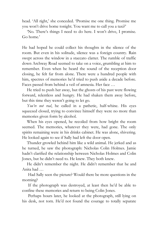head. 'All right,' she conceded. 'Promise me one thing. Promise me you won"t drive home tonight. You want me to call you a taxi?"

"No. There's things I need to do here. I won't drive, I promise. Go home."

He had hoped he could collect his thoughts in the silence of the room. But even in his solitude, silence was a foreign country. Rain swept across the window in a staccato clatter. The rumble of traffic down Archway Road seemed to take on a voice, grumbling at him to remember. Even when he heard the sound of the reception door closing, he felt far from alone. There were a hundred people with him, spectres of memories he'd tried to push aside a decade before. Faces passed from behind a veil of amnesia. Her face …

He tried to push her away, but the ghosts of his past were flowing forward, relentless and hungry. He had shaken them away before, but this time they weren't going to let go.

*You're not real*, he called in a pathetic, half-whine. His eyes squeezed closed, trying to convince himself they were no more than memories given form by alcohol.

When his eyes opened, he recoiled from how bright the room seemed. The memories, whatever they were, had gone. The only spirits remaining were in his drinks cabinet. He was alone, shivering. He looked again to see if Sally had left the door open.

Thunder growled behind him like a wild animal. He jerked and as he turned, he saw the photograph: Nicholas Colin Holmes. Jamie hadn"t clarified the relationship between Nicholas Holmes and Colin Jones, but he didn"t need to. He knew. They both knew.

He didn't remember the night. He didn't remember that he and Anita had …

Had Sally seen the picture? Would there be more questions in the morning?

If the photograph was destroyed, at least then he"d be able to confine these memories and return to being Colin Jones.

Perhaps hours later, he looked at the photograph, still lying on his desk, not torn. He'd not found the courage to totally separate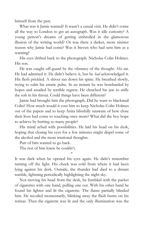himself from the past.

What was it Jamie wanted? It wasn't a casual visit. He didn't come all the way to London to get an autograph. Was it idle curiosity? A young person"s dreams of getting embroiled in the glamorous illusion of the writing world? Or was there a darker, more sinister reason why Jamie had come? Was it Steven who had sent him as a warning?

His eyes drifted back to the photograph. Nicholas Colin Holmes. His son.

He was caught off-guard by the vibrancy of the thought. *His son*. He had admitted it. He didn"t believe it, but he *had* acknowledged it. His flesh prickled. A shiver ran down his spine. He breathed slowly, trying to calm his erratic pulse. In an instant he was bombarded by hopes and assailed by terrible regrets. He clenched his jaw to stifle the sob in his throat. Could things have been different?

Jamie had brought him the photograph. Did he want to blackmail Colin? How much would it cost him to keep Nicholas Colin Holmes out of the papers and to keep Anita blissfully unaware of how close their lives had come to touching once more? What did the boy hope to achieve by hurting so many people?

His mind ached with possibilities. He laid his head on his desk, hoping that closing his eyes for a few minutes might dispel some of the alcohol and the more irrational thoughts.

Part of him wanted to go back.

The rest of him knew he couldn't.

\*

It was dark when he opened his eyes again. He didn"t remember turning off the light. His cheek was cold from where it had been lying against his desk. Outside, the thunder had died to a distant rumble, lightning periodically highlighting the night sky.

Not moving his head from the desk, he fumbled with the packet of cigarettes with one hand, pulling one out. With his other hand he found his lighter and lit the cigarette. The flame partially blinded him. He recoiled momentarily, blinking away the flash burns on his retinas. Then the cigarette was lit and the only illumination was the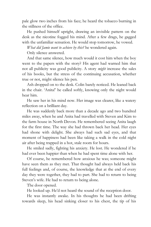pale glow two inches from his face; he heard the tobacco burning in the stillness of the office.

He pushed himself upright, drawing an invisible pattern on the desk as the nicotine fogged his mind. After a few drags, he gagged with the unfamiliar sensation. He would stop tomorrow, he vowed.

*What did Jamie want to achieve by this?* he wondered again.

Only silence answered.

And that same silence, how much would it cost him when the boy went to the papers with the story? His agent had warned him that not all publicity was good publicity. A story *might* increase the sales of his books, but the stress of the continuing accusation, whether true or not, might silence his pen.

Ash dropped on to the desk. Colin barely noticed. He leaned back in the chair. "Anita!" he called softly, knowing only the night would hear him.

He saw her in his mind now. Her image was clearer, like a watery reflection on a brilliant day.

He was suddenly back more than a decade ago and two hundred miles away, when he and Anita had travelled with Steven and Kim to the farm house in North Devon. He remembered seeing Anita laugh for the first time. The way she had thrown back her head. Her eyes had shone with delight. She always had such sad eyes, and that moment of happiness had been like taking a walk in the cold night air after being trapped in a hot, stale room for hours.

He smiled sadly, fighting his anxiety. He lost. He wondered if he had ever been happier than when he had spent time alone with her.

Of course, he remembered how anxious he was; someone might have seen them as they met. That thought had always held back his full feelings and, of course, the knowledge that at the end of every day they were together, they had to part. She had to return to being Steven"s wife. He had to return to being alone.

The door opened.

He looked up. He'd not heard the sound of the reception door.

He was instantly awake. In his thoughts he had been drifting towards sleep, his head sinking closer to his chest, the tip of his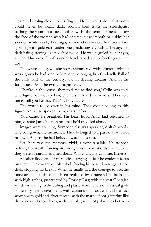cigarette burning closer to his fingers. He blinked twice. This room could never be totally dark: sodium bled from the streetlights, bathing the room in a jaundiced glow. In the semi-darkness he saw the face of the woman who had entered: clear smooth pale skin; her slender white neck; her high, exotic cheekbones; her fresh face glowing with pale gold undertones, radiating a youthful beauty; her dark hair glistening like polished wood. He was beguiled by her eyes, ancient blue eyes. A soft slender hand raised a slim forefinger to her lips.

The white ball-gown she wore shimmered with ethereal light. It was a gown he had seen before, one belonging in a Cinderella Ball of the early part of the century, and in fleeting dreams. And in the farmhouse. And the twisted nightmares.

"They're in the house, they told me to find you," Colin was told. The figure had not spoken, but he still heard the words. "They told me to call you Ernest. That's who you are.'

The words rolled over in his mind. They didn't belong to this figure. Anita had spoken them, years before.

"You came," he breathed. His heart leapt. Anita had returned to him, despite Jamie's assurance that he'd travelled alone.

Images were colliding. Someone else was speaking Anita's words. The ball-gown, the memories. They belonged to a past that was not his own. A ghost he had believed was laid to rest.

Yet, here was the memory, vivid, almost tangible. He stopped holding his breath, forcing air through his throat. Words formed, and they were as natural as a heartbeat: "Will you waltz with me, Ernest?"

Another floodgate of memories, surging so fast he couldn"t focus on them. They swamped his mind, forcing his head down against the desk, stopping his breath. When he finally had the courage to breathe once again, his office had been replaced by a huge white ballroom with high arches, punctuated by Doric pillars; with the vast Georgian windows scaling to the ceiling and plasterwork reliefs of classical gods some fifty feet above them; with curtains of brocatelle and damask woven with gold and silver thread; with the marble floor glittering like diamonds and snowflakes; with a whole garden of palm trees between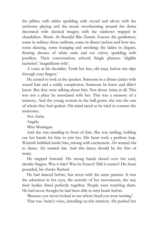the pillars; with tables sparkling with crystal and silver; with the orchestra playing and the music reverberating around the dome decorated with classical images; with the rainbows trapped in chandeliers. Music: *the Beautiful Blue Danube*. Guests: the gentlemen, some in military dress uniform, some in dinner jackets and bow-ties, some dancing, some lounging and smoking; the ladies in elegant, flowing dresses of white satin and cut velvet, sparkling with jewellery. Their conversations echoed. Single phrases: "eligible bachelor'; 'magnificent wife'.

A voice at his shoulder. "Grab her fast, old man, before she slips through your fingers.'

He turned to look at the speaker. Someone in a dinner jacket with waxed hair and a ruddy complexion. Someone he knew and didn"t know. But they were talking about him. Not about Anita at all. This was not a place he associated with her. This was a memory of a memory. And the young woman in the ball-gown: she was the one of whom they had spoken. His mind raced as he tried to connect the memories.

Not Anita.

Angela.

Miss Montague.

And she was standing in front of him. She was smiling, holding out her hands for him to join her. His heart took a perilous leap. Warmth bubbled inside him, mixing with excitement. *She* wanted *him* to dance. *She* wanted *him*. And this dance should be the first of many.

He stepped forward. His strong hands closed over her cool, slender fingers. Was it him? Was he Ernest? Did it matter? His heart pounded, his cheeks flushed.

He had danced before, but never with the same passion. It was the adoration in her eyes, the serenity of her movements, the way their bodies fitted perfectly together. People were watching them. He had never thought he had been able to turn heads before.

'Because you never looked to see whose head you were turning.'

That was Anita's voice, intruding on this memory. He pushed her